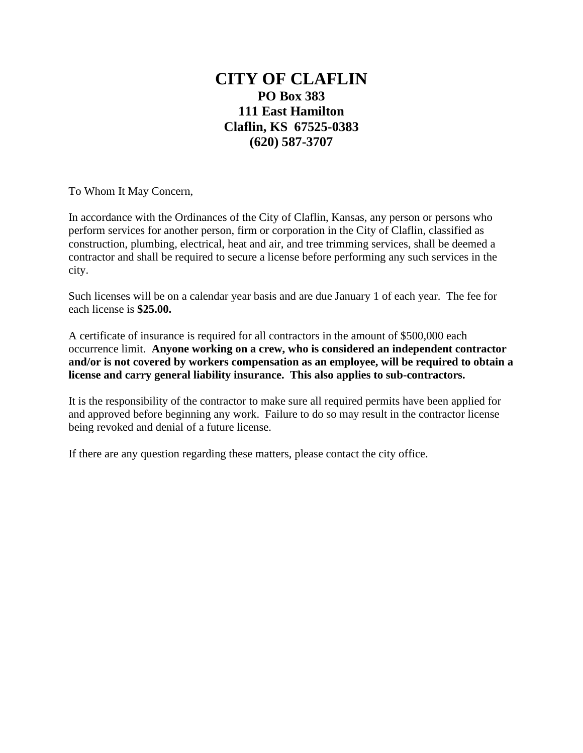## **CITY OF CLAFLIN PO Box 383 111 East Hamilton Claflin, KS 67525-0383 (620) 587-3707**

To Whom It May Concern,

In accordance with the Ordinances of the City of Claflin, Kansas, any person or persons who perform services for another person, firm or corporation in the City of Claflin, classified as construction, plumbing, electrical, heat and air, and tree trimming services, shall be deemed a contractor and shall be required to secure a license before performing any such services in the city.

Such licenses will be on a calendar year basis and are due January 1 of each year. The fee for each license is **\$25.00.**

A certificate of insurance is required for all contractors in the amount of \$500,000 each occurrence limit. **Anyone working on a crew, who is considered an independent contractor and/or is not covered by workers compensation as an employee, will be required to obtain a license and carry general liability insurance. This also applies to sub-contractors.**

It is the responsibility of the contractor to make sure all required permits have been applied for and approved before beginning any work. Failure to do so may result in the contractor license being revoked and denial of a future license.

If there are any question regarding these matters, please contact the city office.